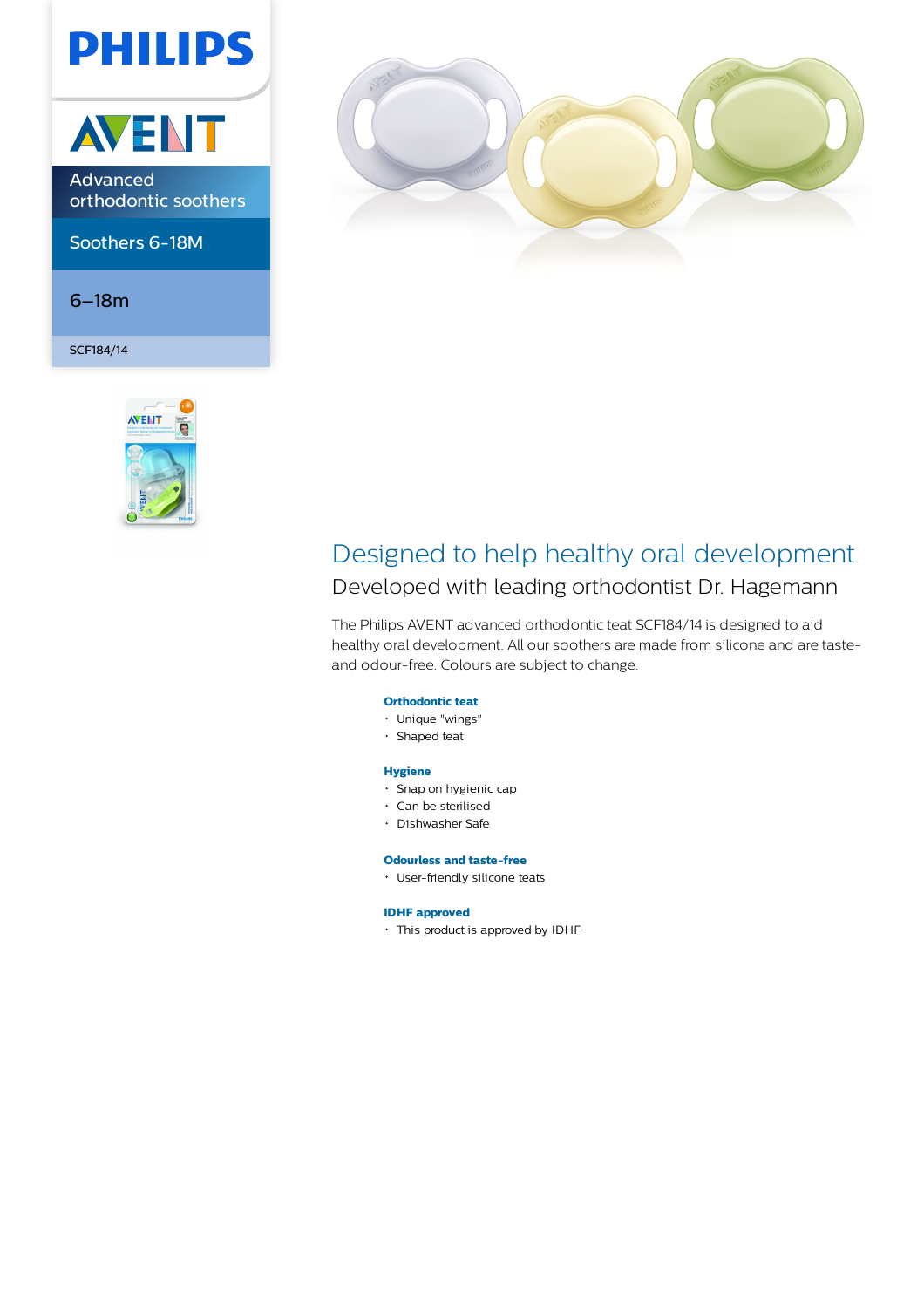# **PHILIPS**



Advanced orthodontic soothers

Soothers 6-18M

6–18m

SCF184/14





### Designed to help healthy oral development

Developed with leading orthodontist Dr. Hagemann

The Philips AVENT advanced orthodontic teat SCF184/14 is designed to aid healthy oral development. All our soothers are made from silicone and are tasteand odour-free. Colours are subject to change.

#### **Orthodontic teat**

- Unique "wings"
- Shaped teat

#### **Hygiene**

- Snap on hygienic cap
- Can be sterilised
- Dishwasher Safe

#### **Odourless and taste-free**

User-friendly silicone teats

#### **IDHF approved**

This product is approved by IDHF